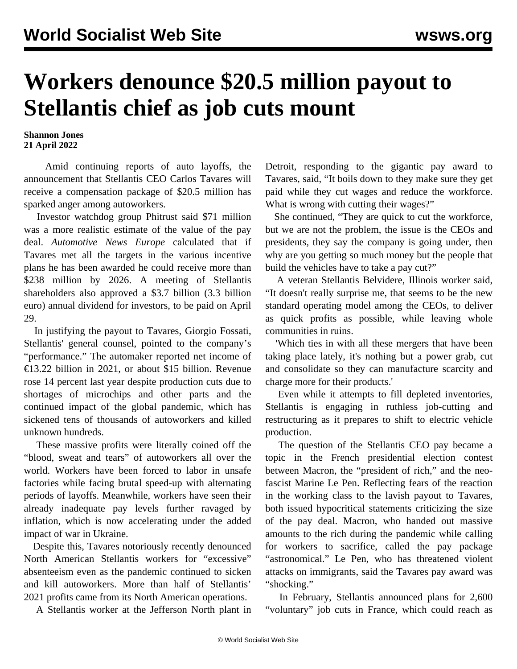## **Workers denounce \$20.5 million payout to Stellantis chief as job cuts mount**

**Shannon Jones 21 April 2022**

 Amid continuing reports of auto layoffs, the announcement that Stellantis CEO Carlos Tavares will receive a compensation package of \$20.5 million has sparked anger among autoworkers.

 Investor watchdog group Phitrust said \$71 million was a more realistic estimate of the value of the pay deal. *Automotive News Europe* calculated that if Tavares met all the targets in the various incentive plans he has been awarded he could receive more than \$238 million by 2026. A meeting of Stellantis shareholders also approved a \$3.7 billion (3.3 billion euro) annual dividend for investors, to be paid on April 29.

 In justifying the payout to Tavares, Giorgio Fossati, Stellantis' general counsel, pointed to the company's "performance." The automaker reported net income of €13.22 billion in 2021, or about \$15 billion. Revenue rose 14 percent last year despite production cuts due to shortages of microchips and other parts and the continued impact of the global pandemic, which has sickened tens of thousands of autoworkers and killed unknown hundreds.

 These massive profits were literally coined off the "blood, sweat and tears" of autoworkers all over the world. Workers have been forced to labor in unsafe factories while facing brutal speed-up with alternating periods of layoffs. Meanwhile, workers have seen their already inadequate pay levels further ravaged by inflation, which is now accelerating under the added impact of war in Ukraine.

 Despite this, Tavares notoriously recently [denounced](/en/articles/2022/03/03/stel-m03.html) North American Stellantis workers for "excessive" absenteeism even as the pandemic continued to sicken and kill autoworkers. More than half of Stellantis' 2021 profits came from its North American operations.

A Stellantis worker at the Jefferson North plant in

Detroit, responding to the gigantic pay award to Tavares, said, "It boils down to they make sure they get paid while they cut wages and reduce the workforce. What is wrong with cutting their wages?"

 She continued, "They are quick to cut the workforce, but we are not the problem, the issue is the CEOs and presidents, they say the company is going under, then why are you getting so much money but the people that build the vehicles have to take a pay cut?"

 A veteran Stellantis Belvidere, Illinois worker said, "It doesn't really surprise me, that seems to be the new standard operating model among the CEOs, to deliver as quick profits as possible, while leaving whole communities in ruins.

 'Which ties in with all these mergers that have been taking place lately, it's nothing but a power grab, cut and consolidate so they can manufacture scarcity and charge more for their products.'

 Even while it attempts to fill depleted inventories, Stellantis is engaging in ruthless job-cutting and restructuring as it prepares to shift to electric vehicle production.

 The question of the Stellantis CEO pay became a topic in the French presidential election contest between Macron, the "president of rich," and the neofascist Marine Le Pen. Reflecting fears of the reaction in the working class to the lavish payout to Tavares, both issued hypocritical statements criticizing the size of the pay deal. Macron, who handed out massive amounts to the rich during the pandemic while calling for workers to sacrifice, called the pay package "astronomical." Le Pen, who has threatened violent attacks on immigrants, said the Tavares pay award was "shocking."

 In February, Stellantis announced plans for 2,600 "voluntary" job cuts in France, which could reach as